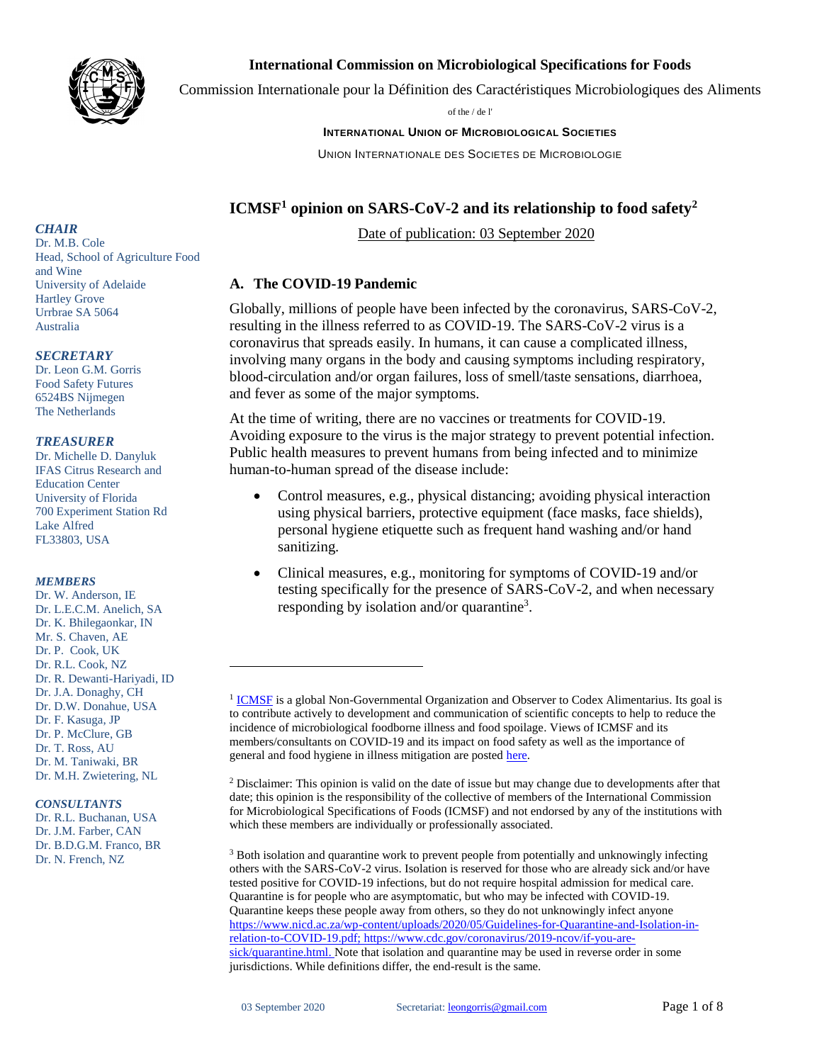

### **International Commission on Microbiological Specifications for Foods**

Commission Internationale pour la Définition des Caractéristiques Microbiologiques des Aliments

of the / de l'

#### **INTERNATIONAL UNION OF MICROBIOLOGICAL SOCIETIES**

UNION INTERNATIONALE DES SOCIETES DE MICROBIOLOGIE

# **ICMSF<sup>1</sup> opinion on SARS-CoV-2 and its relationship to food safety<sup>2</sup>**

Date of publication: 03 September 2020

### **A. The COVID-19 Pandemic**

Globally, millions of people have been infected by the coronavirus, SARS-CoV-2, resulting in the illness referred to as COVID-19. The SARS-CoV-2 virus is a coronavirus that spreads easily. In humans, it can cause a complicated illness, involving many organs in the body and causing symptoms including respiratory, blood-circulation and/or organ failures, loss of smell/taste sensations, diarrhoea, and fever as some of the major symptoms.

At the time of writing, there are no vaccines or treatments for COVID-19. Avoiding exposure to the virus is the major strategy to prevent potential infection. Public health measures to prevent humans from being infected and to minimize human-to-human spread of the disease include:

- Control measures, e.g., physical distancing; avoiding physical interaction using physical barriers, protective equipment (face masks, face shields), personal hygiene etiquette such as frequent hand washing and/or hand sanitizing.
- Clinical measures, e.g., monitoring for symptoms of COVID-19 and/or testing specifically for the presence of SARS-CoV-2, and when necessary responding by isolation and/or quarantine<sup>3</sup>.

#### *CHAIR* Dr. M.B. Cole Head, School of Agriculture Food and Wine University of Adelaide Hartley Grove

Urrbrae SA 5064 Australia

### *SECRETARY*

Dr. Leon G.M. Gorris Food Safety Futures 6524BS Nijmegen The Netherlands

### *TREASURER*

Dr. Michelle D. Danyluk IFAS Citrus Research and Education Center University of Florida 700 Experiment Station Rd Lake Alfred FL33803, USA

### *MEMBERS*

Dr. W. Anderson, IE Dr. L.E.C.M. Anelich, SA Dr. K. Bhilegaonkar, IN Mr. S. Chaven, AE Dr. P. Cook, UK Dr. R.L. Cook, NZ Dr. R. Dewanti-Hariyadi, ID Dr. J.A. Donaghy, CH Dr. D.W. Donahue, USA Dr. F. Kasuga, JP Dr. P. McClure, GB Dr. T. Ross, AU Dr. M. Taniwaki, BR Dr. M.H. Zwietering, NL

#### *CONSULTANTS*

Dr. R.L. Buchanan, USA Dr. J.M. Farber, CAN Dr. B.D.G.M. Franco, BR Dr. N. French, NZ

<sup>&</sup>lt;sup>1</sup> [ICMSF](http://www.icmsf.org/) is a global Non-Governmental Organization and Observer to Codex Alimentarius. Its goal is to contribute actively to development and communication of scientific concepts to help to reduce the incidence of microbiological foodborne illness and food spoilage. Views of ICMSF and its members/consultants on COVID-19 and its impact on food safety as well as the importance of general and food hygiene in illness mitigation are posted [here.](http://www.icmsf.org/in-the-news/announcements/)

 $2$  Disclaimer: This opinion is valid on the date of issue but may change due to developments after that date; this opinion is the responsibility of the collective of members of the International Commission for Microbiological Specifications of Foods (ICMSF) and not endorsed by any of the institutions with which these members are individually or professionally associated.

<sup>&</sup>lt;sup>3</sup> Both isolation and quarantine work to prevent people from potentially and unknowingly infecting others with the SARS-CoV-2 virus. Isolation is reserved for those who are already sick and/or have tested positive for COVID-19 infections, but do not require hospital admission for medical care. Quarantine is for people who are asymptomatic, but who may be infected with COVID-19. Quarantine keeps these people away from others, so they do not unknowingly infect anyone [https://www.nicd.ac.za/wp-content/uploads/2020/05/Guidelines-for-Quarantine-and-Isolation-in](https://www.nicd.ac.za/wp-content/uploads/2020/05/Guidelines-for-Quarantine-and-Isolation-in-relation-to-COVID-19.pdf)[relation-to-COVID-19.pdf;](https://www.nicd.ac.za/wp-content/uploads/2020/05/Guidelines-for-Quarantine-and-Isolation-in-relation-to-COVID-19.pdf) [https://www.cdc.gov/coronavirus/2019-ncov/if-you-are](https://www.cdc.gov/coronavirus/2019-ncov/if-you-are-sick/quarantine.html)[sick/quarantine.html.](https://www.cdc.gov/coronavirus/2019-ncov/if-you-are-sick/quarantine.html) Note that isolation and quarantine may be used in reverse order in some jurisdictions. While definitions differ, the end-result is the same.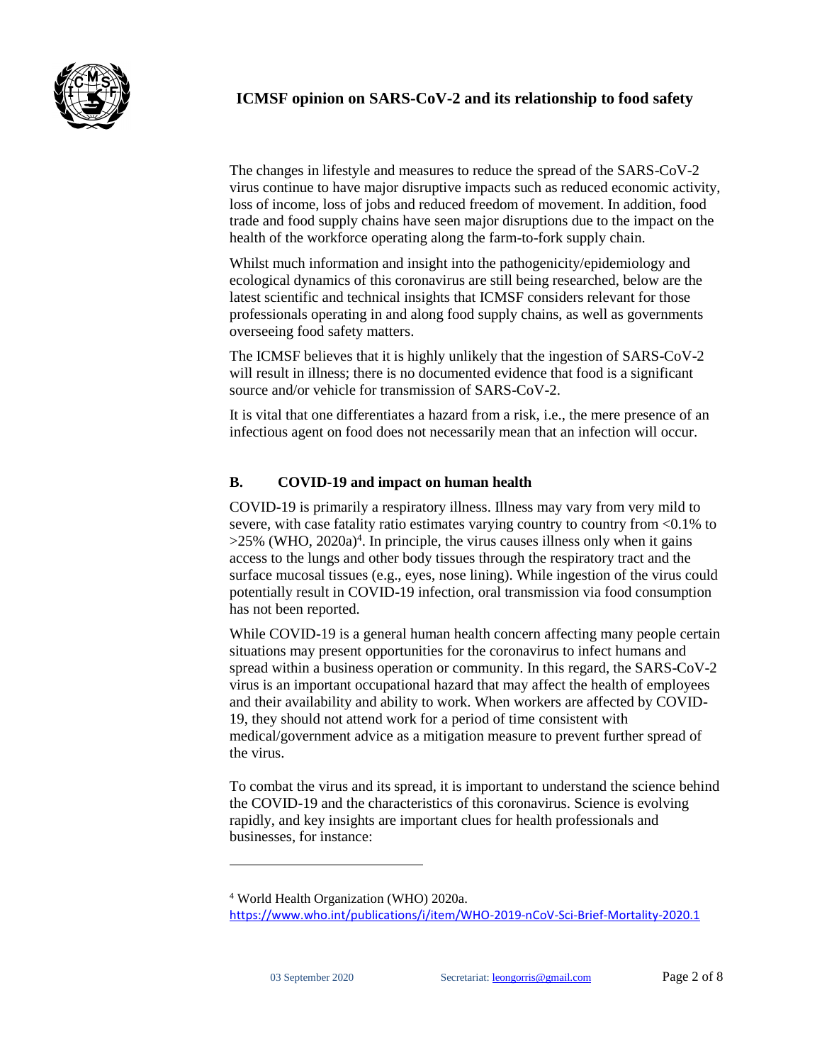

# **ICMSF opinion on SARS-CoV-2 and its relationship to food safety**

The changes in lifestyle and measures to reduce the spread of the SARS-CoV-2 virus continue to have major disruptive impacts such as reduced economic activity, loss of income, loss of jobs and reduced freedom of movement. In addition, food trade and food supply chains have seen major disruptions due to the impact on the health of the workforce operating along the farm-to-fork supply chain.

Whilst much information and insight into the pathogenicity/epidemiology and ecological dynamics of this coronavirus are still being researched, below are the latest scientific and technical insights that ICMSF considers relevant for those professionals operating in and along food supply chains, as well as governments overseeing food safety matters.

The ICMSF believes that it is highly unlikely that the ingestion of SARS-CoV-2 will result in illness; there is no documented evidence that food is a significant source and/or vehicle for transmission of SARS-CoV-2.

It is vital that one differentiates a hazard from a risk, i.e., the mere presence of an infectious agent on food does not necessarily mean that an infection will occur.

## **B. COVID-19 and impact on human health**

COVID-19 is primarily a respiratory illness. Illness may vary from very mild to severe, with case fatality ratio estimates varying country to country from <0.1% to  $>25\%$  (WHO, 2020a)<sup>4</sup>. In principle, the virus causes illness only when it gains access to the lungs and other body tissues through the respiratory tract and the surface mucosal tissues (e.g., eyes, nose lining). While ingestion of the virus could potentially result in COVID-19 infection, oral transmission via food consumption has not been reported.

While COVID-19 is a general human health concern affecting many people certain situations may present opportunities for the coronavirus to infect humans and spread within a business operation or community. In this regard, the SARS-CoV-2 virus is an important occupational hazard that may affect the health of employees and their availability and ability to work. When workers are affected by COVID-19, they should not attend work for a period of time consistent with medical/government advice as a mitigation measure to prevent further spread of the virus.

To combat the virus and its spread, it is important to understand the science behind the COVID-19 and the characteristics of this coronavirus. Science is evolving rapidly, and key insights are important clues for health professionals and businesses, for instance:

<sup>4</sup> World Health Organization (WHO) 2020a.

<https://www.who.int/publications/i/item/WHO-2019-nCoV-Sci-Brief-Mortality-2020.1>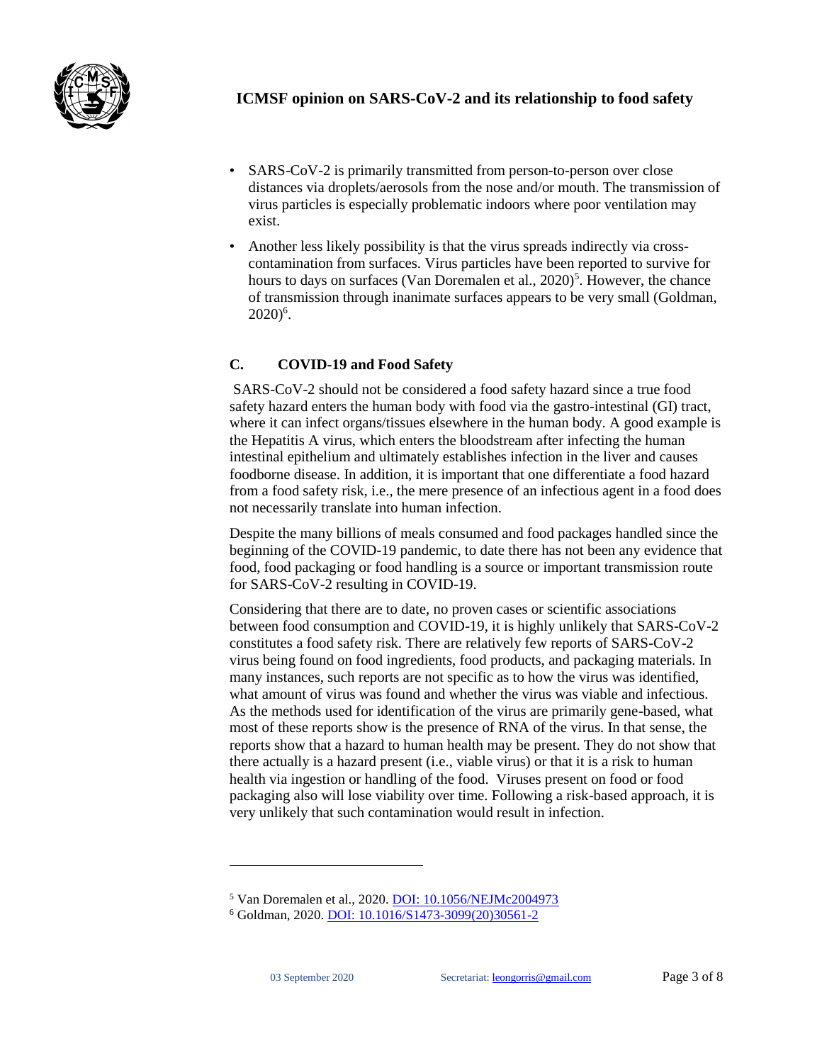

- SARS-CoV-2 is primarily transmitted from person-to-person over close distances via droplets/aerosols from the nose and/or mouth. The transmission of virus particles is especially problematic indoors where poor ventilation may exist.
- Another less likely possibility is that the virus spreads indirectly via crosscontamination from surfaces. Virus particles have been reported to survive for hours to days on surfaces (Van Doremalen et al., 2020)<sup>5</sup>. However, the chance of transmission through inanimate surfaces appears to be very small (Goldman,  $2020)^6$ .

# **C. COVID-19 and Food Safety**

SARS-CoV-2 should not be considered a food safety hazard since a true food safety hazard enters the human body with food via the gastro-intestinal (GI) tract, where it can infect organs/tissues elsewhere in the human body. A good example is the Hepatitis A virus, which enters the bloodstream after infecting the human intestinal epithelium and ultimately establishes infection in the liver and causes foodborne disease. In addition, it is important that one differentiate a food hazard from a food safety risk, i.e., the mere presence of an infectious agent in a food does not necessarily translate into human infection.

Despite the many billions of meals consumed and food packages handled since the beginning of the COVID-19 pandemic, to date there has not been any evidence that food, food packaging or food handling is a source or important transmission route for SARS-CoV-2 resulting in COVID-19.

Considering that there are to date, no proven cases or scientific associations between food consumption and COVID-19, it is highly unlikely that SARS-CoV-2 constitutes a food safety risk. There are relatively few reports of SARS-CoV-2 virus being found on food ingredients, food products, and packaging materials. In many instances, such reports are not specific as to how the virus was identified, what amount of virus was found and whether the virus was viable and infectious. As the methods used for identification of the virus are primarily gene-based, what most of these reports show is the presence of RNA of the virus. In that sense, the reports show that a hazard to human health may be present. They do not show that there actually is a hazard present (i.e., viable virus) or that it is a risk to human health via ingestion or handling of the food. Viruses present on food or food packaging also will lose viability over time. Following a risk-based approach, it is very unlikely that such contamination would result in infection.

<sup>5</sup> Van Doremalen et al., 2020. [DOI: 10.1056/NEJMc2004973](https://www.nejm.org/doi/full/10.1056/nejmc2004973)

<sup>6</sup> Goldman, 2020. [DOI: 10.1016/S1473-3099\(20\)30561-2](https://www.ncbi.nlm.nih.gov/pmc/articles/PMC7333993/)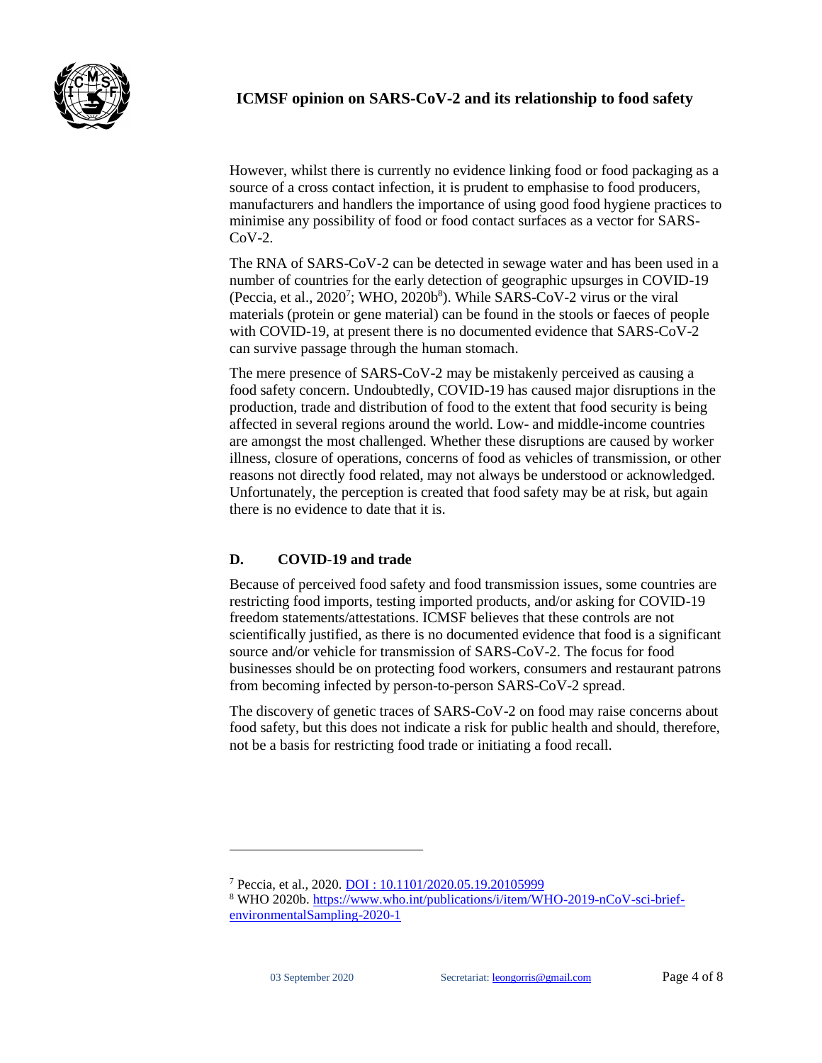

However, whilst there is currently no evidence linking food or food packaging as a source of a cross contact infection, it is prudent to emphasise to food producers, manufacturers and handlers the importance of using good food hygiene practices to minimise any possibility of food or food contact surfaces as a vector for SARS-CoV-2.

The RNA of SARS-CoV-2 can be detected in sewage water and has been used in a number of countries for the early detection of geographic upsurges in COVID-19 (Peccia, et al.,  $2020^7$ ; WHO,  $2020b^8$ ). While SARS-CoV-2 virus or the viral materials (protein or gene material) can be found in the stools or faeces of people with COVID-19, at present there is no documented evidence that SARS-CoV-2 can survive passage through the human stomach.

The mere presence of SARS-CoV-2 may be mistakenly perceived as causing a food safety concern. Undoubtedly, COVID-19 has caused major disruptions in the production, trade and distribution of food to the extent that food security is being affected in several regions around the world. Low- and middle-income countries are amongst the most challenged. Whether these disruptions are caused by worker illness, closure of operations, concerns of food as vehicles of transmission, or other reasons not directly food related, may not always be understood or acknowledged. Unfortunately, the perception is created that food safety may be at risk, but again there is no evidence to date that it is.

# **D. COVID-19 and trade**

Because of perceived food safety and food transmission issues, some countries are restricting food imports, testing imported products, and/or asking for COVID-19 freedom statements/attestations. ICMSF believes that these controls are not scientifically justified, as there is no documented evidence that food is a significant source and/or vehicle for transmission of SARS-CoV-2. The focus for food businesses should be on protecting food workers, consumers and restaurant patrons from becoming infected by person-to-person SARS-CoV-2 spread.

The discovery of genetic traces of SARS-CoV-2 on food may raise concerns about food safety, but this does not indicate a risk for public health and should, therefore, not be a basis for restricting food trade or initiating a food recall.

<sup>7</sup> Peccia, et al., 2020. DOI [: 10.1101/2020.05.19.20105999](https://doi.org/10.1101/2020.05.19.20105999)

<sup>8</sup> WHO 2020b. [https://www.who.int/publications/i/item/WHO-2019-nCoV-sci-brief](https://www.who.int/publications/i/item/WHO-2019-nCoV-sci-brief-environmentalSampling-2020-1)[environmentalSampling-2020-1](https://www.who.int/publications/i/item/WHO-2019-nCoV-sci-brief-environmentalSampling-2020-1)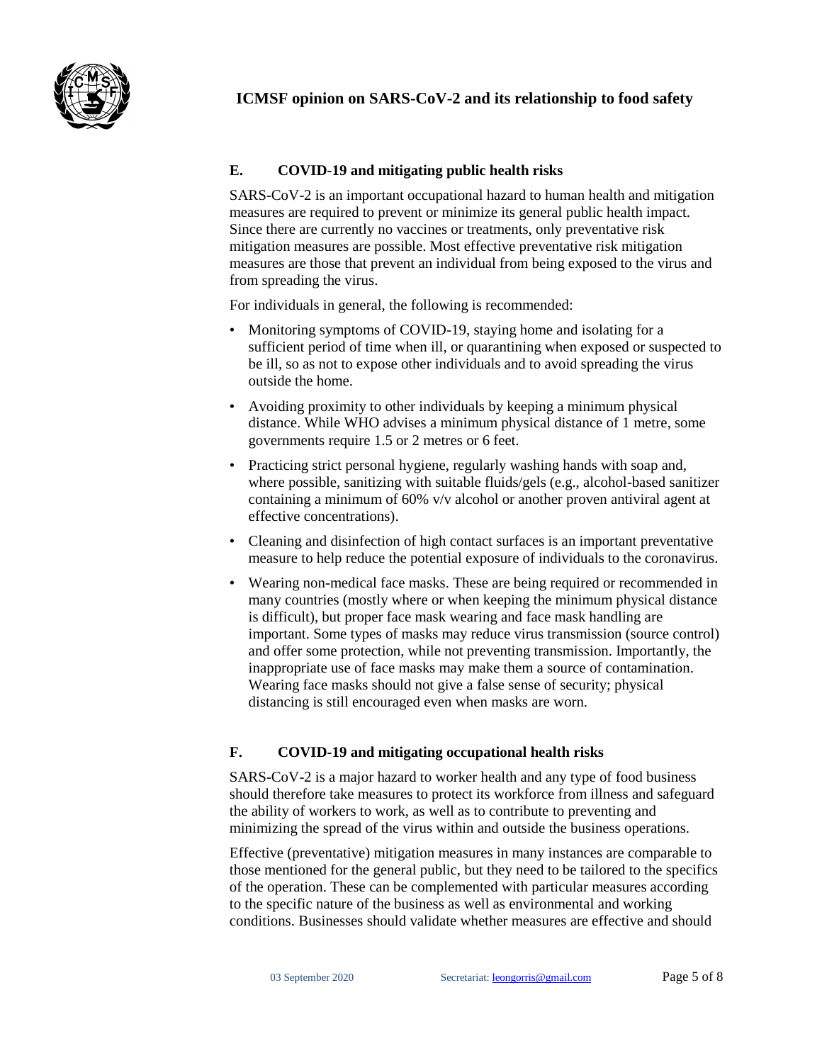

# **E. COVID-19 and mitigating public health risks**

SARS-CoV-2 is an important occupational hazard to human health and mitigation measures are required to prevent or minimize its general public health impact. Since there are currently no vaccines or treatments, only preventative risk mitigation measures are possible. Most effective preventative risk mitigation measures are those that prevent an individual from being exposed to the virus and from spreading the virus.

For individuals in general, the following is recommended:

- Monitoring symptoms of COVID-19, staying home and isolating for a sufficient period of time when ill, or quarantining when exposed or suspected to be ill, so as not to expose other individuals and to avoid spreading the virus outside the home.
- Avoiding proximity to other individuals by keeping a minimum physical distance. While WHO advises a minimum physical distance of 1 metre, some governments require 1.5 or 2 metres or 6 feet.
- Practicing strict personal hygiene, regularly washing hands with soap and, where possible, sanitizing with suitable fluids/gels (e.g., alcohol-based sanitizer containing a minimum of 60% v/v alcohol or another proven antiviral agent at effective concentrations).
- Cleaning and disinfection of high contact surfaces is an important preventative measure to help reduce the potential exposure of individuals to the coronavirus.
- Wearing non-medical face masks. These are being required or recommended in many countries (mostly where or when keeping the minimum physical distance is difficult), but proper face mask wearing and face mask handling are important. Some types of masks may reduce virus transmission (source control) and offer some protection, while not preventing transmission. Importantly, the inappropriate use of face masks may make them a source of contamination. Wearing face masks should not give a false sense of security; physical distancing is still encouraged even when masks are worn.

## **F. COVID-19 and mitigating occupational health risks**

SARS-CoV-2 is a major hazard to worker health and any type of food business should therefore take measures to protect its workforce from illness and safeguard the ability of workers to work, as well as to contribute to preventing and minimizing the spread of the virus within and outside the business operations.

Effective (preventative) mitigation measures in many instances are comparable to those mentioned for the general public, but they need to be tailored to the specifics of the operation. These can be complemented with particular measures according to the specific nature of the business as well as environmental and working conditions. Businesses should validate whether measures are effective and should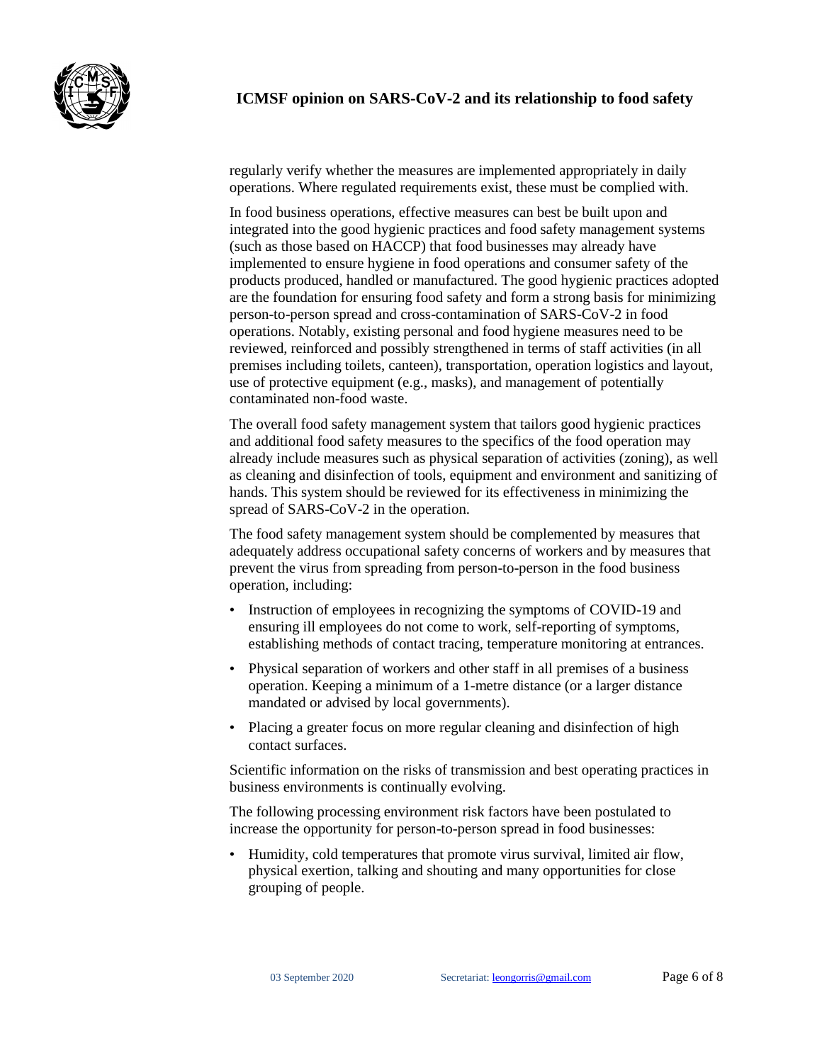

regularly verify whether the measures are implemented appropriately in daily operations. Where regulated requirements exist, these must be complied with.

In food business operations, effective measures can best be built upon and integrated into the good hygienic practices and food safety management systems (such as those based on HACCP) that food businesses may already have implemented to ensure hygiene in food operations and consumer safety of the products produced, handled or manufactured. The good hygienic practices adopted are the foundation for ensuring food safety and form a strong basis for minimizing person-to-person spread and cross-contamination of SARS-CoV-2 in food operations. Notably, existing personal and food hygiene measures need to be reviewed, reinforced and possibly strengthened in terms of staff activities (in all premises including toilets, canteen), transportation, operation logistics and layout, use of protective equipment (e.g., masks), and management of potentially contaminated non-food waste.

The overall food safety management system that tailors good hygienic practices and additional food safety measures to the specifics of the food operation may already include measures such as physical separation of activities (zoning), as well as cleaning and disinfection of tools, equipment and environment and sanitizing of hands. This system should be reviewed for its effectiveness in minimizing the spread of SARS-CoV-2 in the operation.

The food safety management system should be complemented by measures that adequately address occupational safety concerns of workers and by measures that prevent the virus from spreading from person-to-person in the food business operation, including:

- Instruction of employees in recognizing the symptoms of COVID-19 and ensuring ill employees do not come to work, self-reporting of symptoms, establishing methods of contact tracing, temperature monitoring at entrances.
- Physical separation of workers and other staff in all premises of a business operation. Keeping a minimum of a 1-metre distance (or a larger distance mandated or advised by local governments).
- Placing a greater focus on more regular cleaning and disinfection of high contact surfaces.

Scientific information on the risks of transmission and best operating practices in business environments is continually evolving.

The following processing environment risk factors have been postulated to increase the opportunity for person-to-person spread in food businesses:

• Humidity, cold temperatures that promote virus survival, limited air flow, physical exertion, talking and shouting and many opportunities for close grouping of people.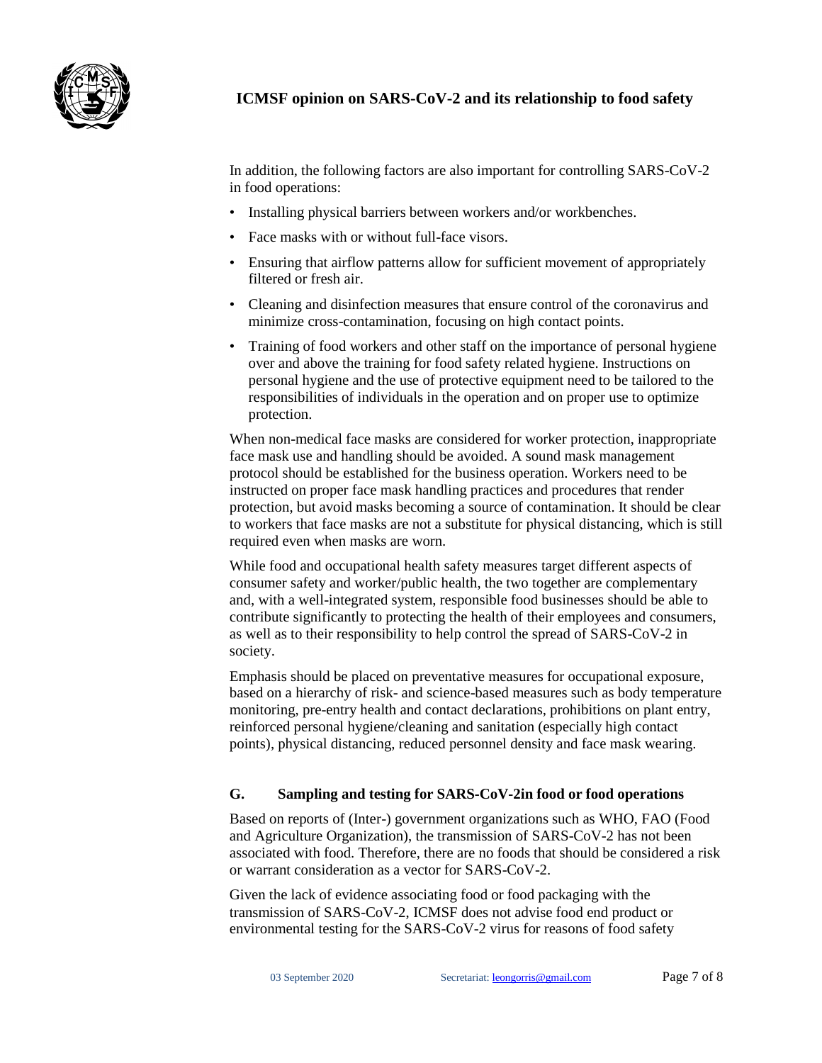

# **ICMSF opinion on SARS-CoV-2 and its relationship to food safety**

In addition, the following factors are also important for controlling SARS-CoV-2 in food operations:

- Installing physical barriers between workers and/or workbenches.
- Face masks with or without full-face visors.
- Ensuring that airflow patterns allow for sufficient movement of appropriately filtered or fresh air.
- Cleaning and disinfection measures that ensure control of the coronavirus and minimize cross-contamination, focusing on high contact points.
- Training of food workers and other staff on the importance of personal hygiene over and above the training for food safety related hygiene. Instructions on personal hygiene and the use of protective equipment need to be tailored to the responsibilities of individuals in the operation and on proper use to optimize protection.

When non-medical face masks are considered for worker protection, inappropriate face mask use and handling should be avoided. A sound mask management protocol should be established for the business operation. Workers need to be instructed on proper face mask handling practices and procedures that render protection, but avoid masks becoming a source of contamination. It should be clear to workers that face masks are not a substitute for physical distancing, which is still required even when masks are worn.

While food and occupational health safety measures target different aspects of consumer safety and worker/public health, the two together are complementary and, with a well-integrated system, responsible food businesses should be able to contribute significantly to protecting the health of their employees and consumers, as well as to their responsibility to help control the spread of SARS-CoV-2 in society.

Emphasis should be placed on preventative measures for occupational exposure, based on a hierarchy of risk- and science-based measures such as body temperature monitoring, pre-entry health and contact declarations, prohibitions on plant entry, reinforced personal hygiene/cleaning and sanitation (especially high contact points), physical distancing, reduced personnel density and face mask wearing.

### **G. Sampling and testing for SARS-CoV-2in food or food operations**

Based on reports of (Inter-) government organizations such as WHO, FAO (Food and Agriculture Organization), the transmission of SARS-CoV-2 has not been associated with food. Therefore, there are no foods that should be considered a risk or warrant consideration as a vector for SARS-CoV-2.

Given the lack of evidence associating food or food packaging with the transmission of SARS-CoV-2, ICMSF does not advise food end product or environmental testing for the SARS-CoV-2 virus for reasons of food safety